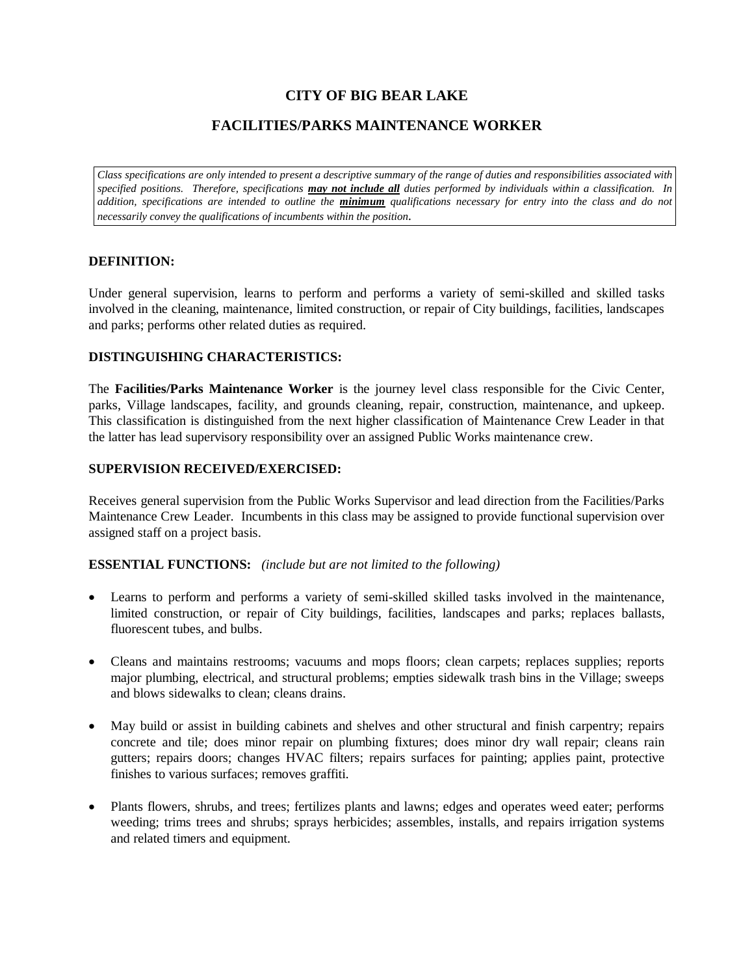# **CITY OF BIG BEAR LAKE**

# **FACILITIES/PARKS MAINTENANCE WORKER**

*Class specifications are only intended to present a descriptive summary of the range of duties and responsibilities associated with specified positions. Therefore, specifications may not include all duties performed by individuals within a classification. In addition, specifications are intended to outline the minimum qualifications necessary for entry into the class and do not necessarily convey the qualifications of incumbents within the position.*

# **DEFINITION:**

Under general supervision, learns to perform and performs a variety of semi-skilled and skilled tasks involved in the cleaning, maintenance, limited construction, or repair of City buildings, facilities, landscapes and parks; performs other related duties as required.

### **DISTINGUISHING CHARACTERISTICS:**

The **Facilities/Parks Maintenance Worker** is the journey level class responsible for the Civic Center, parks, Village landscapes, facility, and grounds cleaning, repair, construction, maintenance, and upkeep. This classification is distinguished from the next higher classification of Maintenance Crew Leader in that the latter has lead supervisory responsibility over an assigned Public Works maintenance crew.

### **SUPERVISION RECEIVED/EXERCISED:**

Receives general supervision from the Public Works Supervisor and lead direction from the Facilities/Parks Maintenance Crew Leader. Incumbents in this class may be assigned to provide functional supervision over assigned staff on a project basis.

#### **ESSENTIAL FUNCTIONS:** *(include but are not limited to the following)*

- Learns to perform and performs a variety of semi-skilled skilled tasks involved in the maintenance, limited construction, or repair of City buildings, facilities, landscapes and parks; replaces ballasts, fluorescent tubes, and bulbs.
- Cleans and maintains restrooms; vacuums and mops floors; clean carpets; replaces supplies; reports major plumbing, electrical, and structural problems; empties sidewalk trash bins in the Village; sweeps and blows sidewalks to clean; cleans drains.
- May build or assist in building cabinets and shelves and other structural and finish carpentry; repairs concrete and tile; does minor repair on plumbing fixtures; does minor dry wall repair; cleans rain gutters; repairs doors; changes HVAC filters; repairs surfaces for painting; applies paint, protective finishes to various surfaces; removes graffiti.
- Plants flowers, shrubs, and trees; fertilizes plants and lawns; edges and operates weed eater; performs weeding; trims trees and shrubs; sprays herbicides; assembles, installs, and repairs irrigation systems and related timers and equipment.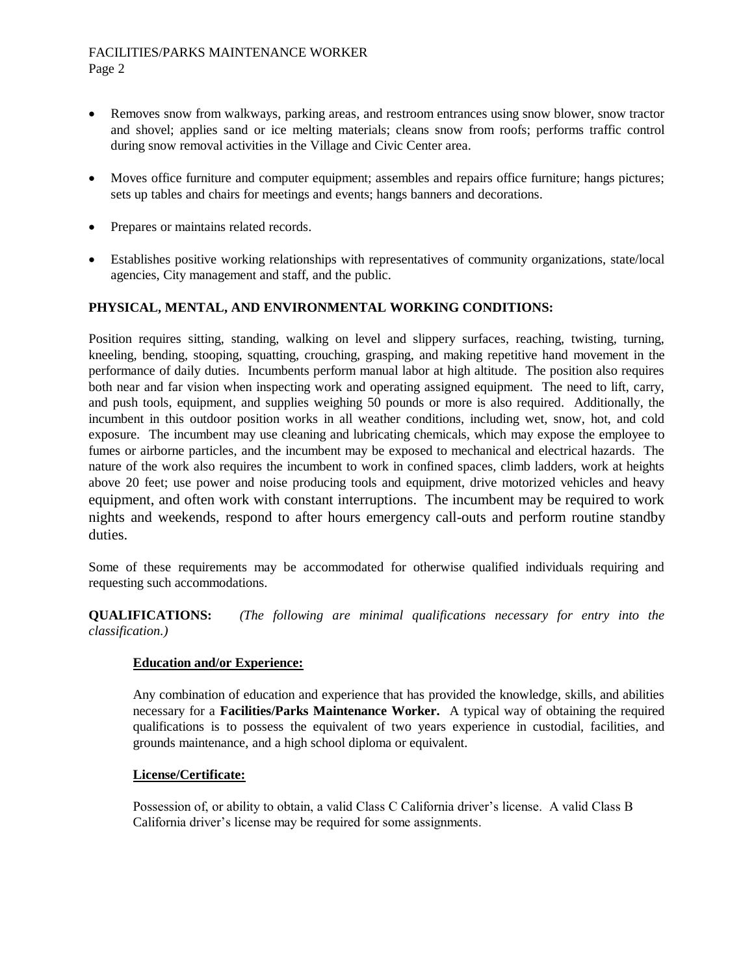### FACILITIES/PARKS MAINTENANCE WORKER Page 2

- Removes snow from walkways, parking areas, and restroom entrances using snow blower, snow tractor and shovel; applies sand or ice melting materials; cleans snow from roofs; performs traffic control during snow removal activities in the Village and Civic Center area.
- Moves office furniture and computer equipment; assembles and repairs office furniture; hangs pictures; sets up tables and chairs for meetings and events; hangs banners and decorations.
- Prepares or maintains related records.
- Establishes positive working relationships with representatives of community organizations, state/local agencies, City management and staff, and the public.

# **PHYSICAL, MENTAL, AND ENVIRONMENTAL WORKING CONDITIONS:**

Position requires sitting, standing, walking on level and slippery surfaces, reaching, twisting, turning, kneeling, bending, stooping, squatting, crouching, grasping, and making repetitive hand movement in the performance of daily duties. Incumbents perform manual labor at high altitude. The position also requires both near and far vision when inspecting work and operating assigned equipment. The need to lift, carry, and push tools, equipment, and supplies weighing 50 pounds or more is also required. Additionally, the incumbent in this outdoor position works in all weather conditions, including wet, snow, hot, and cold exposure. The incumbent may use cleaning and lubricating chemicals, which may expose the employee to fumes or airborne particles, and the incumbent may be exposed to mechanical and electrical hazards. The nature of the work also requires the incumbent to work in confined spaces, climb ladders, work at heights above 20 feet; use power and noise producing tools and equipment, drive motorized vehicles and heavy equipment, and often work with constant interruptions. The incumbent may be required to work nights and weekends, respond to after hours emergency call-outs and perform routine standby duties.

Some of these requirements may be accommodated for otherwise qualified individuals requiring and requesting such accommodations.

**QUALIFICATIONS:** *(The following are minimal qualifications necessary for entry into the classification.)*

# **Education and/or Experience:**

Any combination of education and experience that has provided the knowledge, skills, and abilities necessary for a **Facilities/Parks Maintenance Worker.** A typical way of obtaining the required qualifications is to possess the equivalent of two years experience in custodial, facilities, and grounds maintenance, and a high school diploma or equivalent.

### **License/Certificate:**

Possession of, or ability to obtain, a valid Class C California driver's license. A valid Class B California driver's license may be required for some assignments.